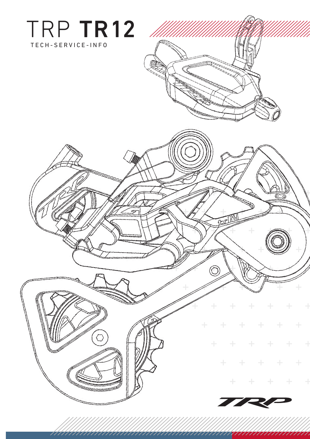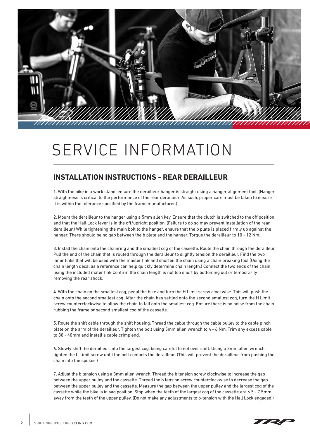

### **INSTALLATION INSTRUCTIONS - REAR DERAILLEUR**

1. With the bike in a work stand, ensure the derailleur hanger is straight using a hanger alignment tool. (Hanger straightness is critical to the performance of the rear derailleur. As such, proper care must be taken to ensure it is within the tolerance specified by the frame manufacturer.)

2. Mount the derailleur to the hanger using a 5mm allen key. Ensure that the clutch is switched to the off position and that the Hall Lock lever is in the off/upright position. (Failure to do so may prevent installation of the rear derailleur.) While tightening the main bolt to the hanger, ensure that the b plate is placed firmly up against the hanger. There should be no gap between the b plate and the hanger. Torque the derailleur to 10 - 12 Nm.

3. Install the chain onto the chainring and the smallest cog of the cassette. Route the chain through the derailleur. Pull the end of the chain that is routed through the derailleur to slightly tension the derailleur. Find the two inner links that will be used with the master link and shorten the chain using a chain breaking tool (Using the chain length decal as a reference can help quickly determine chain length.) Connect the two ends of the chain using the included mater link Confirm the chain length is not too short by bottoming out or temporarily removing the rear shock.

4. With the chain on the smallest cog, pedal the bike and turn the H Limit screw clockwise. This will push the chain onto the second smallest cog. After the chain has settled onto the second smallest cog, turn the H Limit screw counterclockwise to allow the chain to fall onto the smallest cog. Ensure there is no noise from the chain rubbing the frame or second smallest cog of the cassette.

5. Route the shift cable through the shift housing. Thread the cable through the cable pulley to the cable pinch plate on the arm of the derailleur. Tighten the bolt using 5mm allen wrench to 4 - 6 Nm. Trim any excess cable to 30 - 40mm and install a cable crimp end.

6. Slowly shift the derailleur into the largest cog, being careful to not over shift. Using a 3mm allen wrench, tighten the L Limit screw until the bolt contacts the derailleur. (This will prevent the derailleur from pushing the chain into the spokes.)

7. Adjust the b tension using a 3mm allen wrench. Thread the b tension screw clockwise to increase the gap between the upper pulley and the cassette. Thread the b tension screw counterclockwise to decrease the gap between the upper pulley and the cassette. Measure the gap between the upper pulley and the largest cog of the cassette while the bike is in sag position. Stop when the teeth of the largest cog of the cassette are 6.5 - 7.5mm away from the teeth of the upper pulley. (Do not make any adjustments to b-tension with the Hall Lock engaged.)

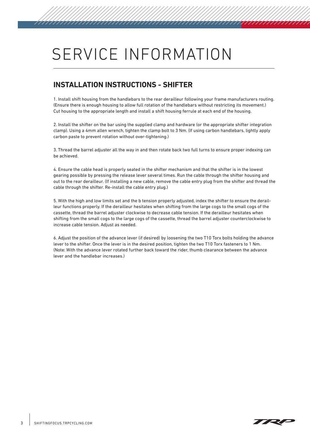### **INSTALLATION INSTRUCTIONS - SHIFTER**

1. Install shift housing from the handlebars to the rear derailleur following your frame manufacturers routing. (Ensure there is enough housing to allow full rotation of the handlebars without restricting its movement.) Cut housing to the appropriate length and install a shift housing ferrule at each end of the housing.

2. Install the shifter on the bar using the supplied clamp and hardware (or the appropriate shifter integration clamp). Using a 4mm allen wrench, tighten the clamp bolt to 3 Nm. (If using carbon handlebars, lightly apply carbon paste to prevent rotation without over-tightening.)

3. Thread the barrel adjuster all the way in and then rotate back two full turns to ensure proper indexing can be achieved.

4. Ensure the cable head is properly seated in the shifter mechanism and that the shifter is in the lowest gearing possible by pressing the release lever several times. Run the cable through the shifter housing and out to the rear derailleur. (If installing a new cable, remove the cable entry plug from the shifter and thread the cable through the shifter. Re-install the cable entry plug.)

5. With the high and low limits set and the b tension properly adjusted, index the shifter to ensure the derailleur functions properly. If the derailleur hesitates when shifting from the large cogs to the small cogs of the cassette, thread the barrel adjuster clockwise to decrease cable tension. If the derailleur hesitates when shifting from the small cogs to the large cogs of the cassette, thread the barrel adjuster counterclockwise to increase cable tension. Adjust as needed.

6. Adjust the position of the advance lever (if desired) by loosening the two T10 Torx bolts holding the advance lever to the shifter. Once the lever is in the desired position, tighten the two T10 Torx fasteners to 1 Nm. (Note: With the advance lever rotated further back toward the rider, thumb clearance between the advance lever and the handlebar increases.)

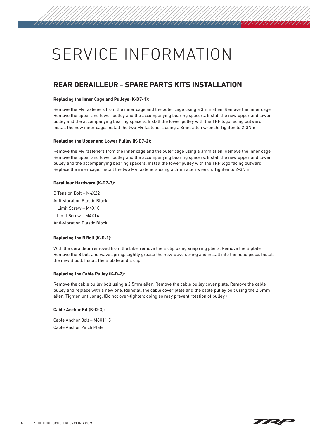### **REAR DERAILLEUR - SPARE PARTS KITS INSTALLATION**

#### **Replacing the Inner Cage and Pulleys (K-D7-1):**

Remove the M4 fasteners from the inner cage and the outer cage using a 3mm allen. Remove the inner cage. Remove the upper and lower pulley and the accompanying bearing spacers. Install the new upper and lower pulley and the accompanying bearing spacers. Install the lower pulley with the TRP logo facing outward. Install the new inner cage. Install the two M4 fasteners using a 3mm allen wrench. Tighten to 2-3Nm.

#### **Replacing the Upper and Lower Pulley (K-D7-2):**

Remove the M4 fasteners from the inner cage and the outer cage using a 3mm allen. Remove the inner cage. Remove the upper and lower pulley and the accompanying bearing spacers. Install the new upper and lower pulley and the accompanying bearing spacers. Install the lower pulley with the TRP logo facing outward. Replace the inner cage. Install the two M4 fasteners using a 3mm allen wrench. Tighten to 2-3Nm.

#### **Derailleur Hardware (K-D7-3):**

B Tension Bolt – M4X22 Anti-vibration Plastic Block H Limit Screw – M4X10 L Limit Screw – M4X14 Anti-vibration Plastic Block

#### **Replacing the B Bolt (K-D-1):**

With the derailleur removed from the bike, remove the E clip using snap ring pliers. Remove the B plate. Remove the B bolt and wave spring. Lightly grease the new wave spring and install into the head piece. Install the new B bolt. Install the B plate and E clip.

#### **Replacing the Cable Pulley (K-D-2):**

Remove the cable pulley bolt using a 2.5mm allen. Remove the cable pulley cover plate. Remove the cable pulley and replace with a new one. Reinstall the cable cover plate and the cable pulley bolt using the 2.5mm allen. Tighten until snug. (Do not over-tighten; doing so may prevent rotation of pulley.)

#### **Cable Anchor Kit (K-D-3):**

Cable Anchor Bolt – M6X11.5 Cable Anchor Pinch Plate

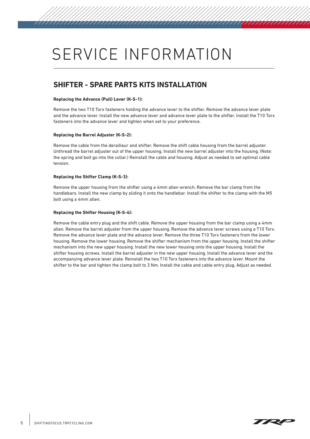### **SHIFTER - SPARE PARTS KITS INSTALLATION**

#### **Replacing the Advance (Pull) Lever (K-S-1):**

Remove the two T10 Torx fasteners holding the advance lever to the shifter. Remove the advance lever plate and the advance lever. Install the new advance lever and advance lever plate to the shifter. Install the T10 Torx fasteners into the advance lever and tighten when set to your preference.

#### **Replacing the Barrel Adjuster (K-S-2):**

Remove the cable from the derailleur and shifter. Remove the shift cable housing from the barrel adjuster. Unthread the barrel adjuster out of the upper housing. Install the new barrel adjuster into the housing. (Note: the spring and bolt go into the collar.) Reinstall the cable and housing. Adjust as needed to set optimal cable tension.

#### **Replacing the Shifter Clamp (K-S-3):**

Remove the upper housing from the shifter using a 4mm allen wrench. Remove the bar clamp from the handlebars. Install the new clamp by sliding it onto the handlebar. Install the shifter to the clamp with the M5 bolt using a 4mm allen.

#### **Replacing the Shifter Housing (K-S-4):**

Remove the cable entry plug and the shift cable. Remove the upper housing from the bar clamp using a 4mm allen. Remove the barrel adjuster from the upper housing. Remove the advance lever screws using a T10 Torx. Remove the advance lever plate and the advance lever. Remove the three T10 Torx fasteners from the lower housing. Remove the lower housing. Remove the shifter mechanism from the upper housing. Install the shifter mechanism into the new upper housing. Install the new lower housing onto the upper housing. Install the shifter housing screws. Install the barrel adjuster in the new upper housing. Install the advance lever and the accompanying advance lever plate. Reinstall the two T10 Torx fasteners into the advance lever. Mount the shifter to the bar and tighten the clamp bolt to 3 Nm. Install the cable and cable entry plug. Adjust as needed.



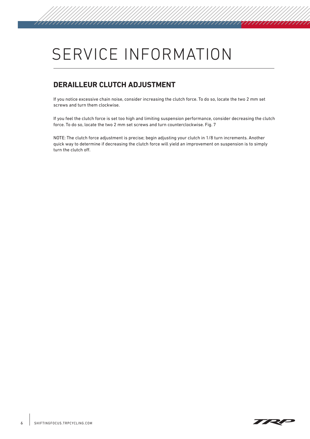### **DERAILLEUR CLUTCH ADJUSTMENT**

If you notice excessive chain noise, consider increasing the clutch force. To do so, locate the two 2 mm set screws and turn them clockwise.

If you feel the clutch force is set too high and limiting suspension performance, consider decreasing the clutch force. To do so, locate the two 2 mm set screws and turn counterclockwise. Fig. 7

NOTE: The clutch force adjustment is precise; begin adjusting your clutch in 1/8 turn increments. Another quick way to determine if decreasing the clutch force will yield an improvement on suspension is to simply turn the clutch off.



777777777777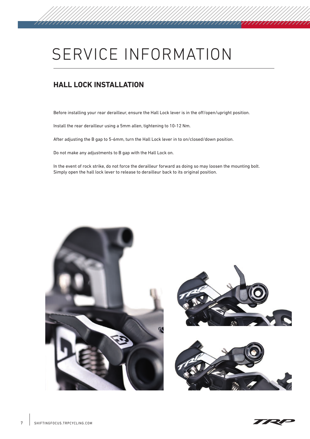### **HALL LOCK INSTALLATION**

Before installing your rear derailleur, ensure the Hall Lock lever is in the off/open/upright position.

Install the rear derailleur using a 5mm allen, tightening to 10-12 Nm.

After adjusting the B gap to 5-6mm, turn the Hall Lock lever in to on/closed/down position.

Do not make any adjustments to B gap with the Hall Lock on.

In the event of rock strike, do not force the derailleur forward as doing so may loosen the mounting bolt. Simply open the hall lock lever to release to derailleur back to its original position.





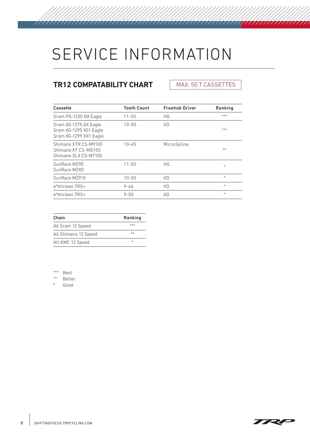## **TR12 COMPATABILITY CHART**

777777777777777777777

### MAX. 50 T CASSETTES

7777777777777

| Cassette                                                                  | <b>Tooth Count</b> | <b>Freehub Driver</b> | Ranking |
|---------------------------------------------------------------------------|--------------------|-----------------------|---------|
| Sram PG-1230 NX Eagle                                                     | $11 - 50$          | НG                    | ***     |
| Sram XG-1275 GX Eagle<br>Sram XG-1295 X01 Eagle<br>Sram XG-1299 XX1 Eagle | $10 - 50$          | XD                    | ***     |
| Shimano XTR CS-M9100<br>Shimano XT CS-M8100<br>Shimano SLX CS-M7100       | $10 - 45$          | MicroSpline           | **      |
| SunRace MZ90<br>SunRace MZX0                                              | $11 - 50$          | HG                    | $\ast$  |
| SunRace MZ91X                                                             | $10 - 50$          | XD                    | *       |
| e*thirteen TRS+                                                           | $9 - 46$           | XD                    | $*$     |
| e*thirteen TRS+                                                           | $9 - 50$           | XD                    | $\ast$  |

| Chain                | Ranking |
|----------------------|---------|
| All Sram 12 Speed    | ***     |
| All Shimano 12 Speed | **      |
| All KMC 12 Speed     | ж       |

\*\*\* Best

\*\* Better

Good